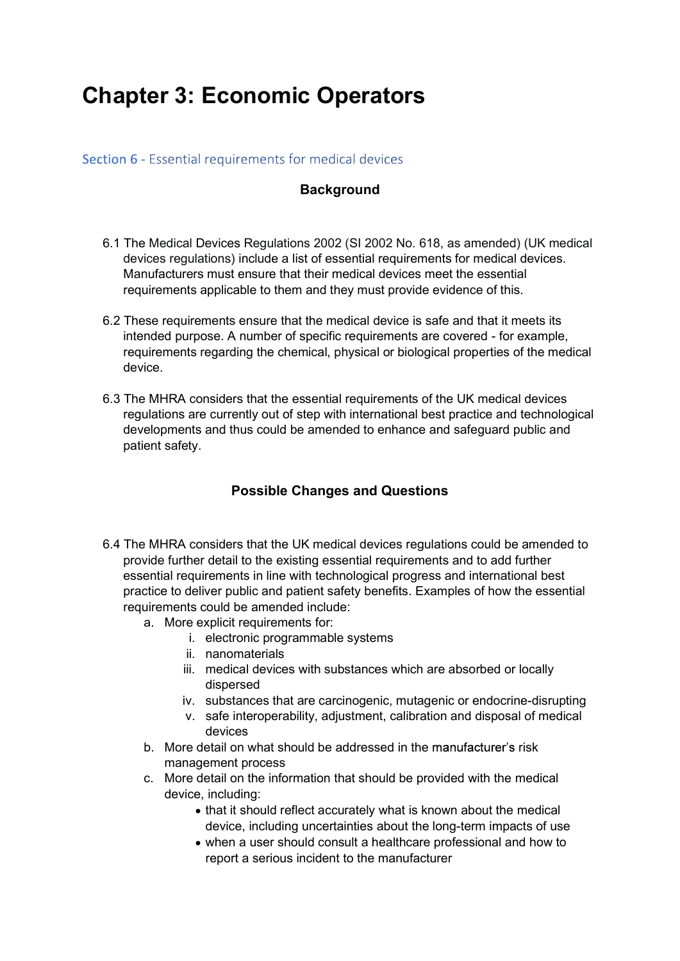## Chapter 3: Economic Operators

### Section 6 - Essential requirements for medical devices

### **Background**

- 6.1 The Medical Devices Regulations 2002 (SI 2002 No. 618, as amended) (UK medical devices regulations) include a list of essential requirements for medical devices. Manufacturers must ensure that their medical devices meet the essential requirements applicable to them and they must provide evidence of this.
- 6.2 These requirements ensure that the medical device is safe and that it meets its intended purpose. A number of specific requirements are covered - for example, requirements regarding the chemical, physical or biological properties of the medical device.
- 6.3 The MHRA considers that the essential requirements of the UK medical devices regulations are currently out of step with international best practice and technological developments and thus could be amended to enhance and safeguard public and patient safety.

### Possible Changes and Questions

- 6.4 The MHRA considers that the UK medical devices regulations could be amended to provide further detail to the existing essential requirements and to add further essential requirements in line with technological progress and international best practice to deliver public and patient safety benefits. Examples of how the essential requirements could be amended include:
	- a. More explicit requirements for:
		- i. electronic programmable systems
		- ii. nanomaterials
		- iii. medical devices with substances which are absorbed or locally dispersed
		- iv. substances that are carcinogenic, mutagenic or endocrine-disrupting
		- v. safe interoperability, adjustment, calibration and disposal of medical devices
	- b. More detail on what should be addressed in the manufacturer's risk management process
	- c. More detail on the information that should be provided with the medical device, including:
		- that it should reflect accurately what is known about the medical device, including uncertainties about the long-term impacts of use
		- when a user should consult a healthcare professional and how to report a serious incident to the manufacturer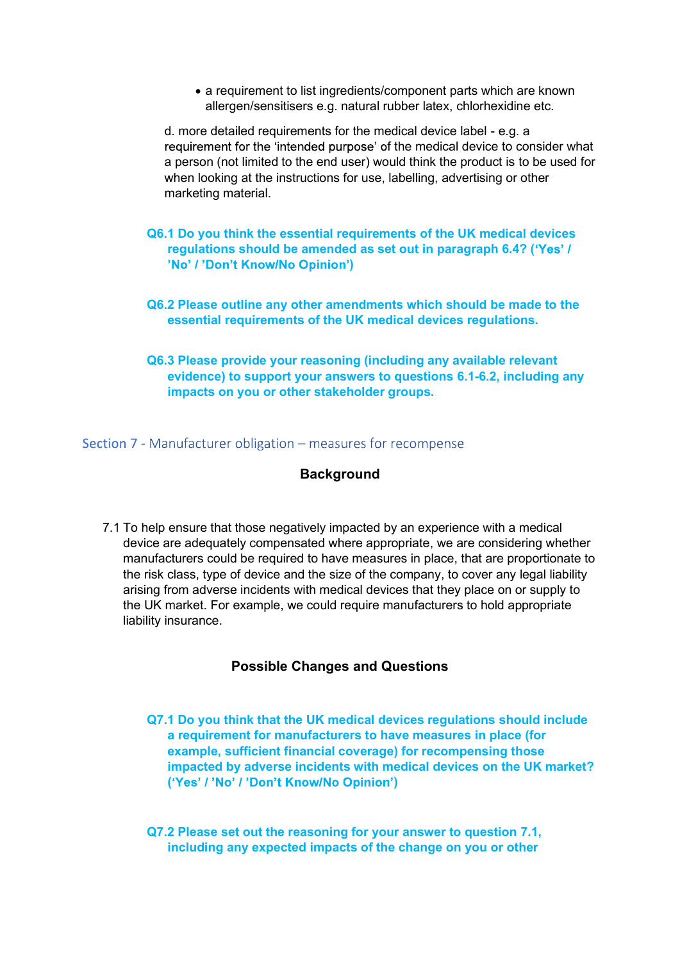a requirement to list ingredients/component parts which are known allergen/sensitisers e.g. natural rubber latex, chlorhexidine etc.

d. more detailed requirements for the medical device label - e.g. a requirement for the 'intended purpose' of the medical device to consider what a person (not limited to the end user) would think the product is to be used for when looking at the instructions for use, labelling, advertising or other marketing material.

- Q6.1 Do you think the essential requirements of the UK medical devices regulations should be amended as set out in paragraph 6.4? ( )
- Q6.2 Please outline any other amendments which should be made to the essential requirements of the UK medical devices regulations.
- Q6.3 Please provide your reasoning (including any available relevant evidence) to support your answers to questions 6.1-6.2, including any impacts on you or other stakeholder groups.

### Section 7 - Manufacturer obligation - measures for recompense

### **Background**

7.1 To help ensure that those negatively impacted by an experience with a medical device are adequately compensated where appropriate, we are considering whether manufacturers could be required to have measures in place, that are proportionate to the risk class, type of device and the size of the company, to cover any legal liability arising from adverse incidents with medical devices that they place on or supply to the UK market. For example, we could require manufacturers to hold appropriate liability insurance.

### Possible Changes and Questions

Q7.1 Do you think that the UK medical devices regulations should include a requirement for manufacturers to have measures in place (for example, sufficient financial coverage) for recompensing those impacted by adverse incidents with medical devices on the UK market? ('Yes' / 'No' / 'Don't Know/No Opinion')

Q7.2 Please set out the reasoning for your answer to question 7.1, including any expected impacts of the change on you or other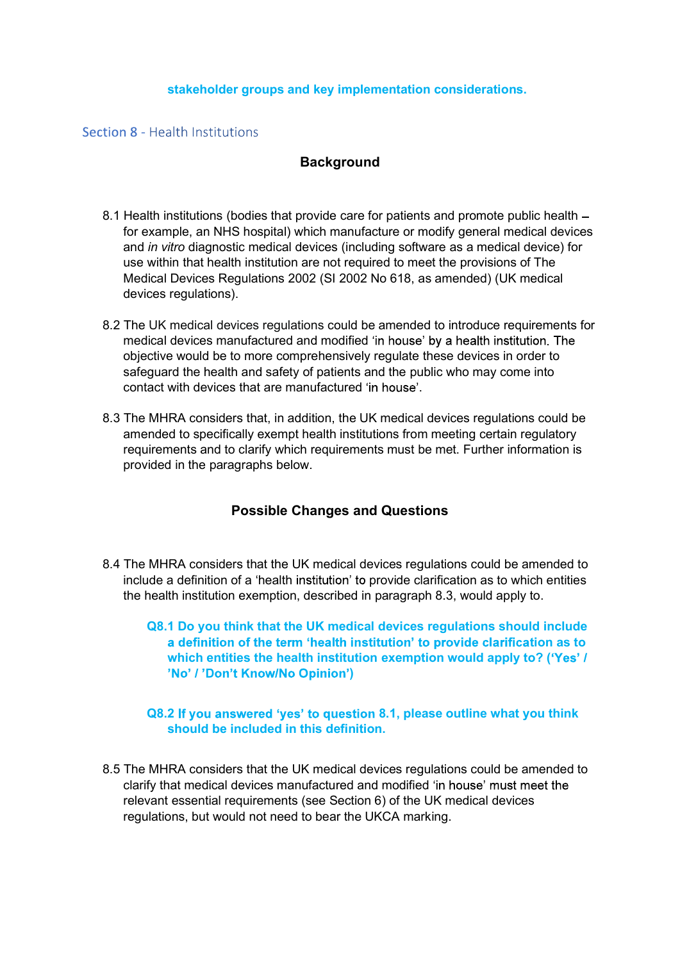### stakeholder groups and key implementation considerations.

### Section 8 - Health Institutions

### **Background**

- 8.1 Health institutions (bodies that provide care for patients and promote public health for example, an NHS hospital) which manufacture or modify general medical devices and in vitro diagnostic medical devices (including software as a medical device) for use within that health institution are not required to meet the provisions of The Medical Devices Regulations 2002 (SI 2002 No 618, as amended) (UK medical devices regulations).
- 8.2 The UK medical devices regulations could be amended to introduce requirements for medical devices manufactured and modified 'in house' by a health institution. The objective would be to more comprehensively regulate these devices in order to safeguard the health and safety of patients and the public who may come into contact with devices that are manufactured 'in house'.<br>8.3 The MHRA considers that, in addition, the UK medical devices regulations could be
- amended to specifically exempt health institutions from meeting certain regulatory requirements and to clarify which requirements must be met. Further information is provided in the paragraphs below.

### Possible Changes and Questions

- 8.4 The MHRA considers that the UK medical devices regulations could be amended to include a definition of a 'health institution' to provide clarification as to which entities the health institution exemption, described in paragraph 8.3, would apply to.
	- Q8.1 Do you think that the UK medical devices regulations should include a definition of the term 'health institution' to provide clarification as to which entities the health institution exemption would apply to? ('Yes' / )

### Q8.2 If you answered 'yes' to question 8.1, please outline what you think should be included in this definition.

8.5 The MHRA considers that the UK medical devices regulations could be amended to clarify that medical devices manufactured and modified relevant essential requirements (see Section 6) of the UK medical devices regulations, but would not need to bear the UKCA marking.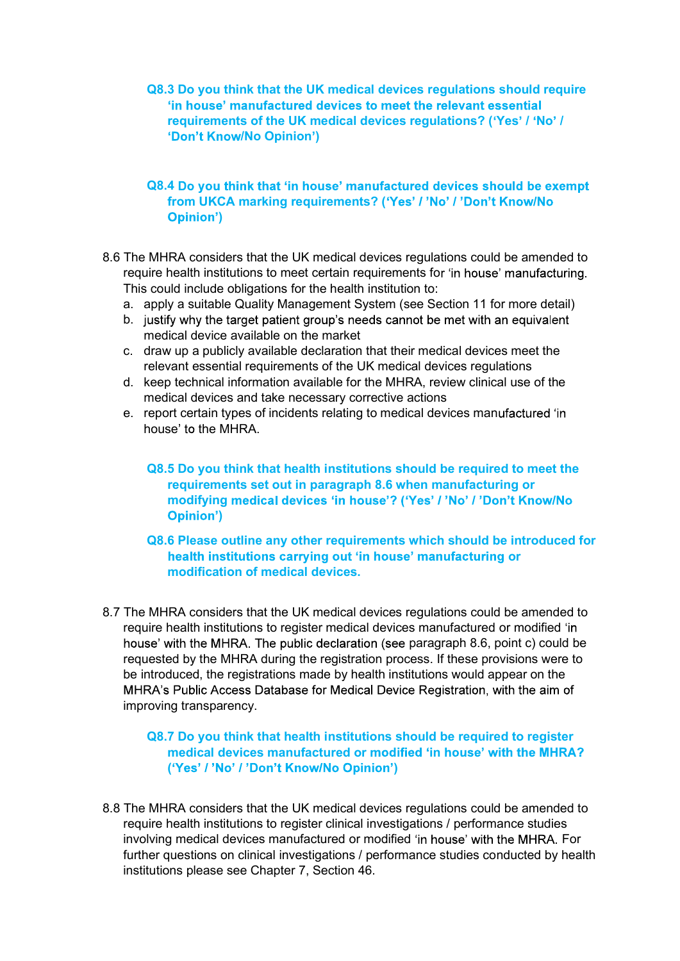Q8.3 Do you think that the UK medical devices regulations should require<br>
"in house" manufactured devices to meet the relevant essential<br>
requirements of the UK medical devices regulations? ('Yes' / 'No' /<br>
"Don't Know/No requirements of the UK medical devices requiations? ('Yes' / 'No' / 'Don't Know/No Opinion')

### Q8.4 Do you think that 'in house' manufactured devices should be exempt from UKCA marking requirements? ('Yes' / 'No' / 'Don't Know/No )

- 8.6 The MHRA considers that the UK medical devices regulations could be amended to require health institutions to meet certain requirements for 'in house' manufacturing. This could include obligations for the health institution to:
	- a. apply a suitable Quality Management System (see Section 11 for more detail)
	- b. justify why the target patient group's needs cannot be met with an equivalent medical device available on the market
	- c. draw up a publicly available declaration that their medical devices meet the relevant essential requirements of the UK medical devices regulations
	- d. keep technical information available for the MHRA, review clinical use of the medical devices and take necessary corrective actions
	- e. report certain types of incidents relating to medical devices manufactured 'in house' to the MHRA.
		- Q8.5 Do you think that health institutions should be required to meet the requirements set out in paragraph 8.6 when manufacturing or modifying medical devices 'in house'? ('Yes' / 'No' / 'Don't Know/No )

### Q8.6 Please outline any other requirements which should be introduced for health institutions carrying out 'in house' manufacturing or modification of medical devices.

8.7 The MHRA considers that the UK medical devices regulations could be amended to require health institutions to register medical devices manufactured or modified house' with the MHRA. The public declaration (see paragraph 8.6, point c) could be requested by the MHRA during the registration process. If these provisions were to be introduced, the registrations made by health institutions would appear on the MHRA's Public Access Database for Medical Device Registration, with the aim of improving transparency.

### Q8.7 Do you think that health institutions should be required to register medical devices manufactured or modified 'in house' with the MHRA? ('Yes' / 'No' / 'Don't Know/No Opinion')

8.8 The MHRA considers that the UK medical devices regulations could be amended to require health institutions to register clinical investigations / performance studies involving medical devices manufactured or modified 'in house' with the MHRA. For further questions on clinical investigations / performance studies conducted by health institutions please see Chapter 7, Section 46.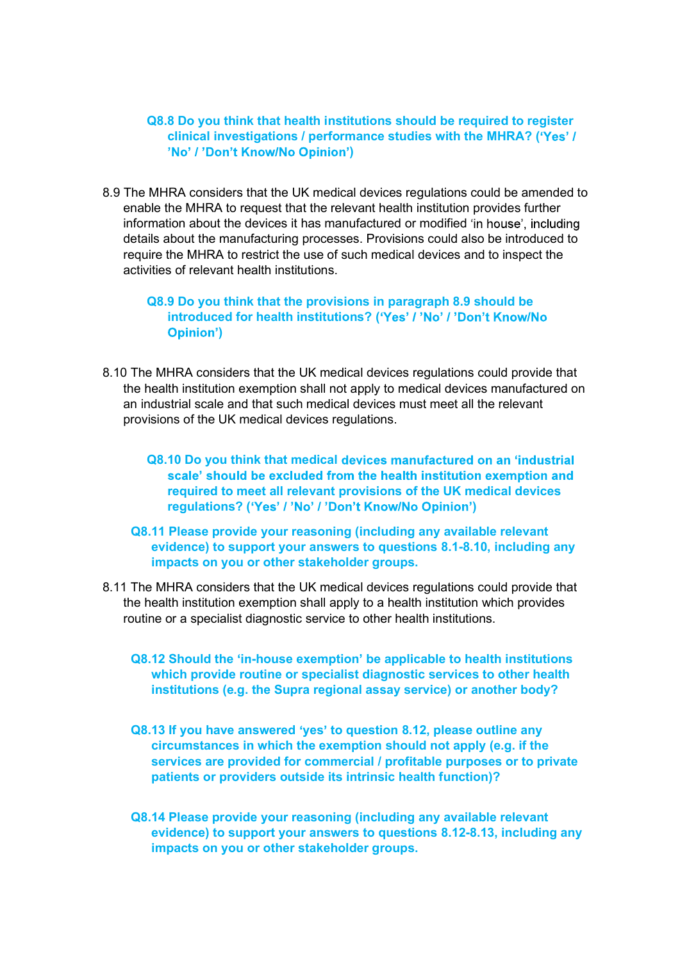### Q8.8 Do you think that health institutions should be required to register clinical investigations / performance studies with the MHRA? ( )

8.9 The MHRA considers that the UK medical devices regulations could be amended to enable the MHRA to request that the relevant health institution provides further information about the devices it has manufactured or modified 'in house', including details about the manufacturing processes. Provisions could also be introduced to require the MHRA to restrict the use of such medical devices and to inspect the activities of relevant health institutions. Q8.9 Do you think that the provisions in paragraph 8.9 should be

## introduced for health institutions? ('Yes' / 'No' / 'Don't Know/No )

- 8.10 The MHRA considers that the UK medical devices regulations could provide that the health institution exemption shall not apply to medical devices manufactured on an industrial scale and that such medical devices must meet all the relevant provisions of the UK medical devices regulations.
	- Q8.10 Do you think that medical devices manufactured on an 'industrial scale' should be excluded from the health institution exemption and required to meet all relevant provisions of the UK medical devices regulations? ('Yes' / 'No' / 'Don't Know/No Opinion')
	- Q8.11 Please provide your reasoning (including any available relevant evidence) to support your answers to questions 8.1-8.10, including any impacts on you or other stakeholder groups.
- 8.11 The MHRA considers that the UK medical devices regulations could provide that the health institution exemption shall apply to a health institution which provides routine or a specialist diagnostic service to other health institutions.
	- Q8.12 Should the 'in-house exemption' be applicable to health institutions which provide routine or specialist diagnostic services to other health institutions (e.g. the Supra regional assay service) or another body?
	- Q8.13 If you have answered 'yes' to question 8.12, please outline any circumstances in which the exemption should not apply (e.g. if the services are provided for commercial / profitable purposes or to private patients or providers outside its intrinsic health function)?
	- Q8.14 Please provide your reasoning (including any available relevant evidence) to support your answers to questions 8.12-8.13, including any impacts on you or other stakeholder groups.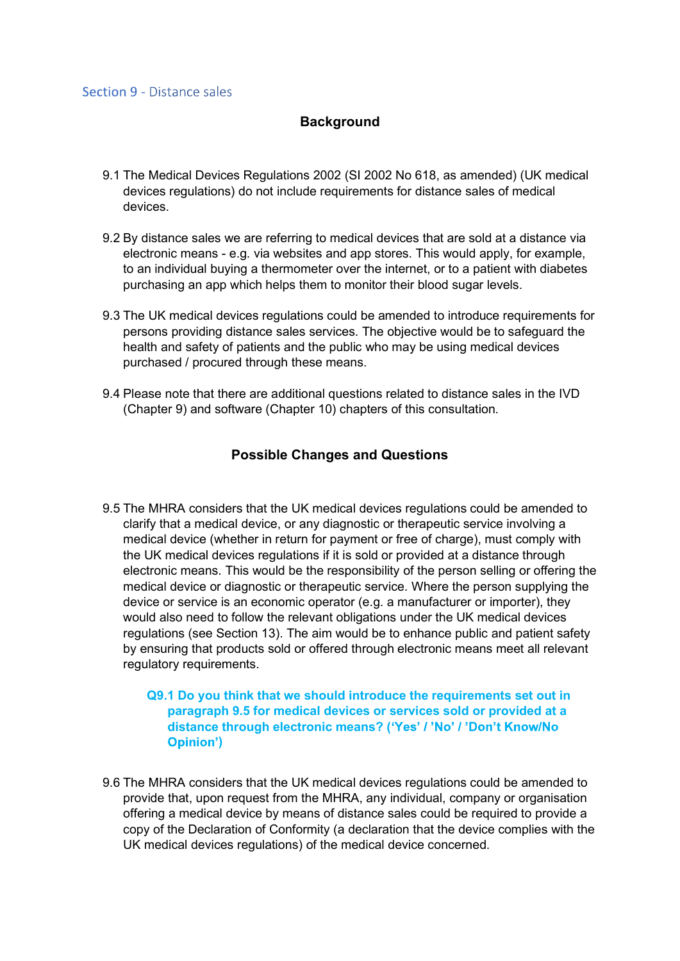### **Background**

- 9.1 The Medical Devices Regulations 2002 (SI 2002 No 618, as amended) (UK medical devices regulations) do not include requirements for distance sales of medical devices.
- 9.2 By distance sales we are referring to medical devices that are sold at a distance via electronic means - e.g. via websites and app stores. This would apply, for example, to an individual buying a thermometer over the internet, or to a patient with diabetes purchasing an app which helps them to monitor their blood sugar levels.
- 9.3 The UK medical devices regulations could be amended to introduce requirements for persons providing distance sales services. The objective would be to safeguard the health and safety of patients and the public who may be using medical devices purchased / procured through these means.
- 9.4 Please note that there are additional questions related to distance sales in the IVD (Chapter 9) and software (Chapter 10) chapters of this consultation.

### Possible Changes and Questions

9.5 The MHRA considers that the UK medical devices regulations could be amended to clarify that a medical device, or any diagnostic or therapeutic service involving a medical device (whether in return for payment or free of charge), must comply with the UK medical devices regulations if it is sold or provided at a distance through electronic means. This would be the responsibility of the person selling or offering the medical device or diagnostic or therapeutic service. Where the person supplying the device or service is an economic operator (e.g. a manufacturer or importer), they would also need to follow the relevant obligations under the UK medical devices regulations (see Section 13). The aim would be to enhance public and patient safety by ensuring that products sold or offered through electronic means meet all relevant regulatory requirements.

### Q9.1 Do you think that we should introduce the requirements set out in paragraph 9.5 for medical devices or services sold or provided at a distance through electronic means? ('Yes' / 'No' / 'Don't Know/No )

9.6 The MHRA considers that the UK medical devices regulations could be amended to provide that, upon request from the MHRA, any individual, company or organisation offering a medical device by means of distance sales could be required to provide a copy of the Declaration of Conformity (a declaration that the device complies with the UK medical devices regulations) of the medical device concerned.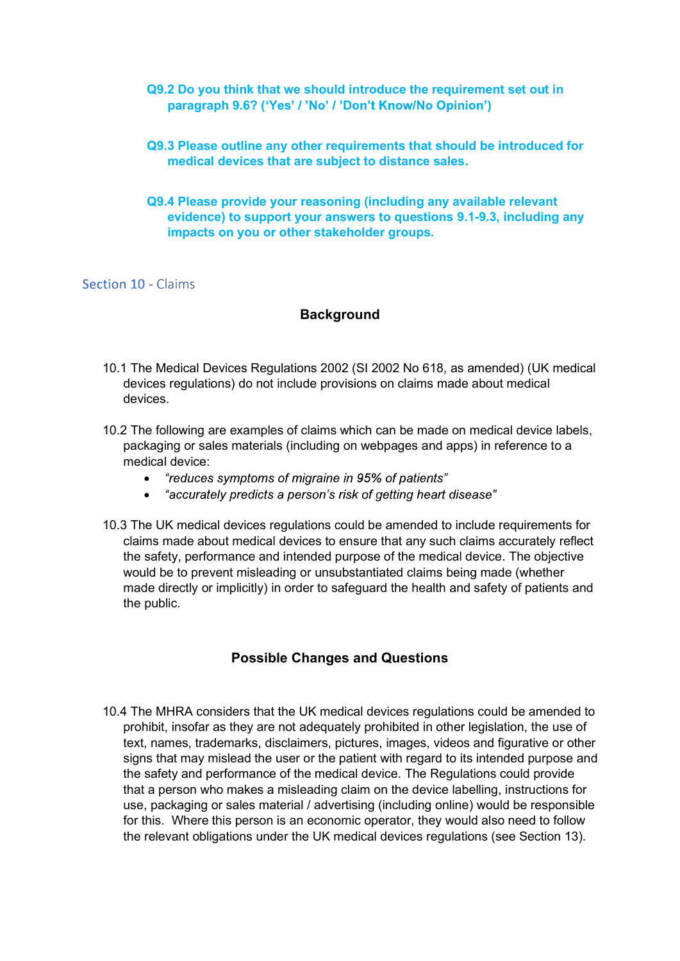# Q9.2 Do you think that we should introduce the requirement set out in<br>paragraph 9.6? ('Yes' / 'No' / 'Don't Know/No Opinion')<br>Q9.3 Please outline any other requirements that should be introduced for<br>medical devices that ar paragraph 9.6? ('Yes' / 'No' / 'Don't Know/No Opinion')

### Q9.3 Please outline any other requirements that should be introduced for medical devices that are subject to distance sales.

### Q9.4 Please provide your reasoning (including any available relevant evidence) to support your answers to questions 9.1-9.3, including any impacts on you or other stakeholder groups.

### Section 10 - Claims

### **Background**

- 10.1 The Medical Devices Regulations 2002 (SI 2002 No 618, as amended) (UK medical devices regulations) do not include provisions on claims made about medical devices.
- 10.2 The following are examples of claims which can be made on medical device labels, packaging or sales materials (including on webpages and apps) in reference to a medical device:
	- "reduces symptoms of migraine in 95% of patients"  $\bullet$
	- "accurately predicts a person's risk of getting heart disease"
- 10.3 The UK medical devices regulations could be amended to include requirements for claims made about medical devices to ensure that any such claims accurately reflect the safety, performance and intended purpose of the medical device. The objective would be to prevent misleading or unsubstantiated claims being made (whether made directly or implicitly) in order to safeguard the health and safety of patients and the public.

### Possible Changes and Questions

10.4 The MHRA considers that the UK medical devices regulations could be amended to prohibit, insofar as they are not adequately prohibited in other legislation, the use of text, names, trademarks, disclaimers, pictures, images, videos and figurative or other signs that may mislead the user or the patient with regard to its intended purpose and the safety and performance of the medical device. The Regulations could provide that a person who makes a misleading claim on the device labelling, instructions for use, packaging or sales material / advertising (including online) would be responsible for this. Where this person is an economic operator, they would also need to follow the relevant obligations under the UK medical devices regulations (see Section 13).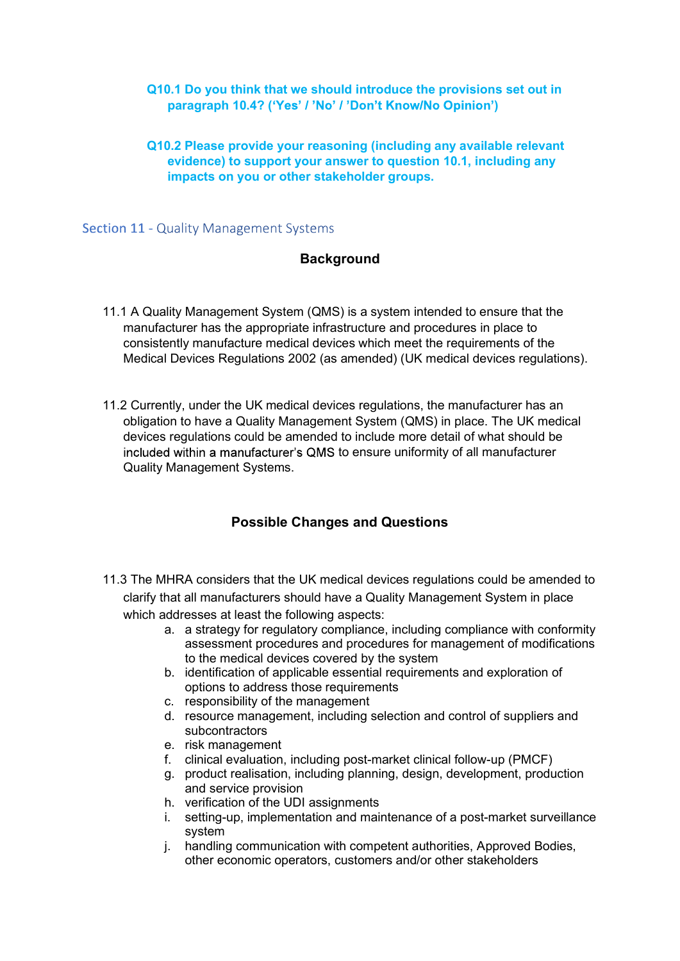# Q10.1 Do you think that we should introduce the provisions set out in<br>paragraph 10.4? ('Yes' / 'No' / 'Don't Know/No Opinion')<br>Q10.2 Please provide your reasoning (including any available relevant<br>evidence) to support your paragraph 10.4? ('Yes' / 'No' / 'Don't Know/No Opinion')

### Q10.2 Please provide your reasoning (including any available relevant evidence) to support your answer to question 10.1, including any impacts on you or other stakeholder groups.

**Section 11 - Quality Management Systems** 

### **Background**

- 11.1 A Quality Management System (QMS) is a system intended to ensure that the manufacturer has the appropriate infrastructure and procedures in place to consistently manufacture medical devices which meet the requirements of the Medical Devices Regulations 2002 (as amended) (UK medical devices regulations).
- 11.2 Currently, under the UK medical devices regulations, the manufacturer has an obligation to have a Quality Management System (QMS) in place. The UK medical devices regulations could be amended to include more detail of what should be included within a manufacturer's QMS to ensure uniformity of all manufacturer Quality Management Systems.

### Possible Changes and Questions

- 11.3 The MHRA considers that the UK medical devices regulations could be amended to clarify that all manufacturers should have a Quality Management System in place which addresses at least the following aspects:
	- a. a strategy for regulatory compliance, including compliance with conformity assessment procedures and procedures for management of modifications to the medical devices covered by the system
	- b. identification of applicable essential requirements and exploration of options to address those requirements
	- c. responsibility of the management
	- d. resource management, including selection and control of suppliers and subcontractors
	- e. risk management
	- f. clinical evaluation, including post-market clinical follow-up (PMCF)
	- g. product realisation, including planning, design, development, production and service provision
	- h. verification of the UDI assignments
	- i. setting-up, implementation and maintenance of a post-market surveillance system
	- j. handling communication with competent authorities, Approved Bodies, other economic operators, customers and/or other stakeholders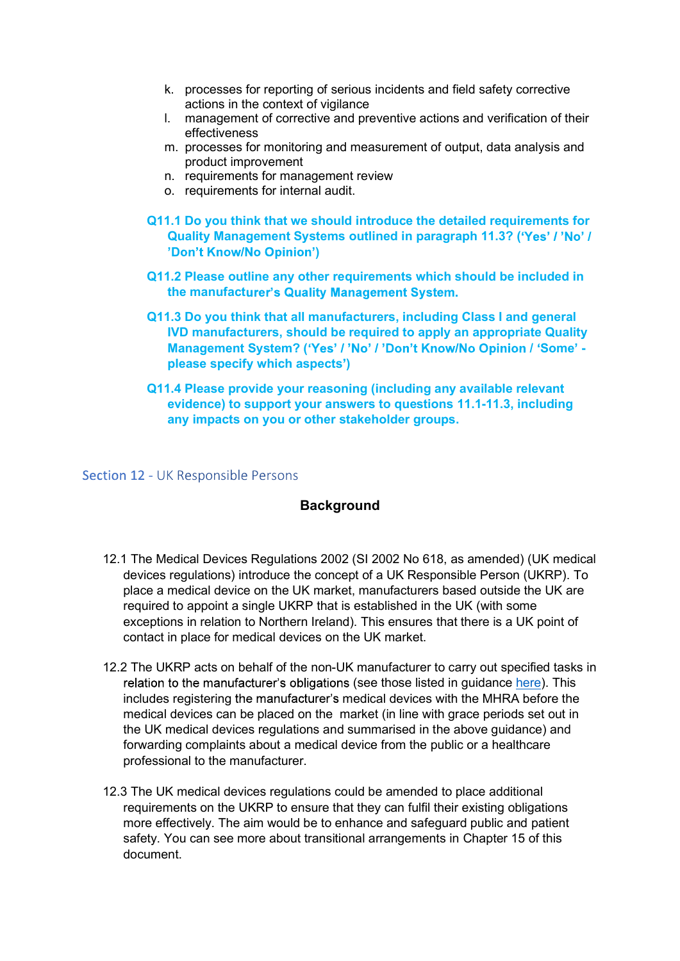- actions in the context of vigilance
- k. processes for reporting of serious incidents and field safety corrective<br>actions in the context of vigilance<br>l. management of corrective and preventive actions and verification of their<br>effectiveness<br>m. processes for mo l. management of corrective and preventive actions and verification of their effectiveness
- m. processes for monitoring and measurement of output, data analysis and product improvement
- n. requirements for management review
- o. requirements for internal audit.
- Q11.1 Do you think that we should introduce the detailed requirements for Quality Management Systems outlined in paragraph 11.3? ('Yes' / 'No' / )
- Q11.2 Please outline any other requirements which should be included in the manufacturer's Quality Management System.
- Q11.3 Do you think that all manufacturers, including Class I and general IVD manufacturers, should be required to apply an appropriate Quality Management System? ('Yes' / 'No' / 'Don't Know/No Opinion / 'Some' please specify which aspects )
- Q11.4 Please provide your reasoning (including any available relevant evidence) to support your answers to questions 11.1-11.3, including any impacts on you or other stakeholder groups.

Section 12 - UK Responsible Persons

### **Background**

- 12.1 The Medical Devices Regulations 2002 (SI 2002 No 618, as amended) (UK medical devices regulations) introduce the concept of a UK Responsible Person (UKRP). To place a medical device on the UK market, manufacturers based outside the UK are required to appoint a single UKRP that is established in the UK (with some exceptions in relation to Northern Ireland). This ensures that there is a UK point of contact in place for medical devices on the UK market.
- 12.2 The UKRP acts on behalf of the non-UK manufacturer to carry out specified tasks in relation to the manufacturer's obligations (see those listed in guidance here). This includes registering the manufacturer's medical devices with the MHRA before the medical devices can be placed on the market (in line with grace periods set out in the UK medical devices regulations and summarised in the above guidance) and forwarding complaints about a medical device from the public or a healthcare professional to the manufacturer.
- 12.3 The UK medical devices regulations could be amended to place additional requirements on the UKRP to ensure that they can fulfil their existing obligations more effectively. The aim would be to enhance and safeguard public and patient safety. You can see more about transitional arrangements in Chapter 15 of this document.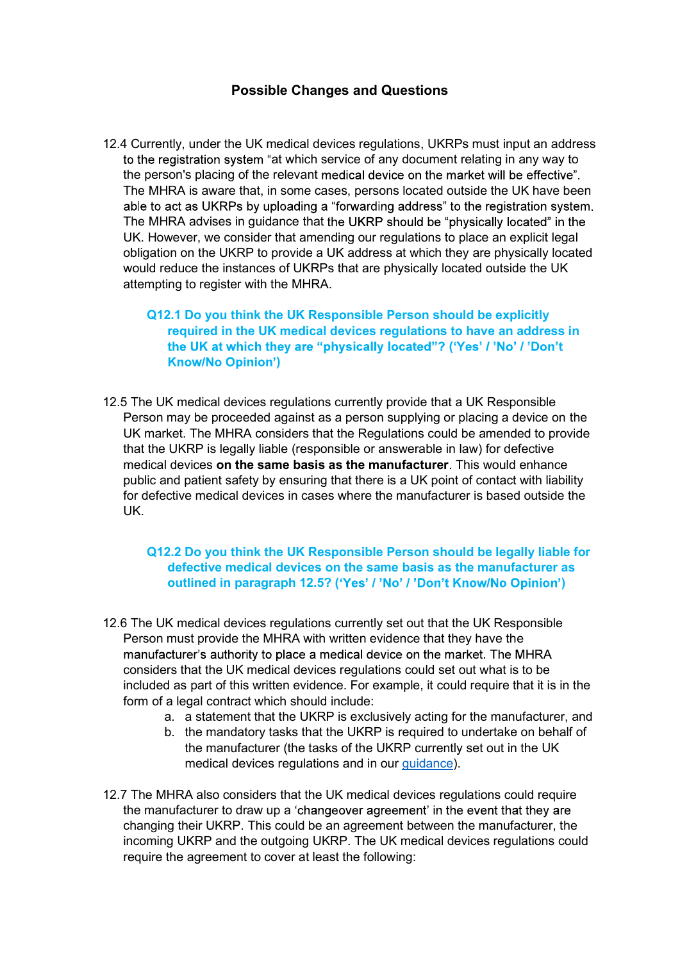### Possible Changes and Questions

12.4 Currently, under the UK medical devices regulations, UKRPs must input an address to the registration system "at which service of any document relating in any way to the person's placing of the relevant medical device on the market will be effective". The MHRA is aware that, in some cases, persons located outside the UK have been able to act as UKRPs by uploading a "forwarding address" to the registration system. The MHRA advises in quidance that the UKRP should be "physically located" in the UK. However, we consider that amending our regulations to place an explicit legal obligation on the UKRP to provide a UK address at which they are physically located would reduce the instances of UKRPs that are physically located outside the UK attempting to register with the MHRA.

### Q12.1 Do you think the UK Responsible Person should be explicitly required in the UK medical devices regulations to have an address in the UK at which they are "physically located"? ('Yes' / 'No' / 'Don't )

12.5 The UK medical devices regulations currently provide that a UK Responsible Person may be proceeded against as a person supplying or placing a device on the UK market. The MHRA considers that the Regulations could be amended to provide that the UKRP is legally liable (responsible or answerable in law) for defective medical devices on the same basis as the manufacturer. This would enhance public and patient safety by ensuring that there is a UK point of contact with liability for defective medical devices in cases where the manufacturer is based outside the UK.

### Q12.2 Do you think the UK Responsible Person should be legally liable for defective medical devices on the same basis as the manufacturer as outlined in paragraph 12.5? ('Yes' / 'No' / 'Don't Know/No Opinion')

- 12.6 The UK medical devices regulations currently set out that the UK Responsible Person must provide the MHRA with written evidence that they have the manufacturer's authority to place a medical device on the market. The MHRA considers that the UK medical devices regulations could set out what is to be included as part of this written evidence. For example, it could require that it is in the form of a legal contract which should include:
	- a. a statement that the UKRP is exclusively acting for the manufacturer, and
	- b. the mandatory tasks that the UKRP is required to undertake on behalf of the manufacturer (the tasks of the UKRP currently set out in the UK medical devices regulations and in our guidance).
- 12.7 The MHRA also considers that the UK medical devices regulations could require the manufacturer to draw up a 'changeover agreement' in the event that they are changing their UKRP. This could be an agreement between the manufacturer, the incoming UKRP and the outgoing UKRP. The UK medical devices regulations could require the agreement to cover at least the following: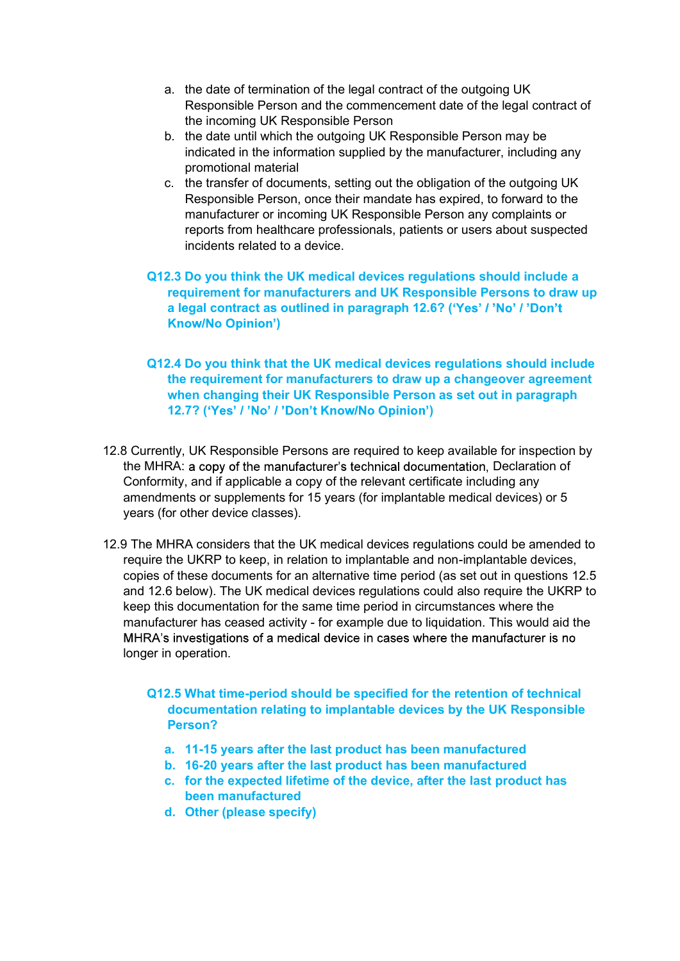- a. the date of termination of the legal contract of the outgoing UK<br>Responsible Person and the commencement date of the legal contract of<br>the incoming UK Responsible Person<br>b. the date until which the outgoing UK Responsib Responsible Person and the commencement date of the legal contract of the incoming UK Responsible Person
- b. the date until which the outgoing UK Responsible Person may be indicated in the information supplied by the manufacturer, including any promotional material
- c. the transfer of documents, setting out the obligation of the outgoing UK Responsible Person, once their mandate has expired, to forward to the manufacturer or incoming UK Responsible Person any complaints or reports from healthcare professionals, patients or users about suspected incidents related to a device.
- Q12.3 Do you think the UK medical devices regulations should include a requirement for manufacturers and UK Responsible Persons to draw up a legal contract as outlined in paragraph 12.6? ('Yes' / 'No' / 'Don't )
- Q12.4 Do you think that the UK medical devices regulations should include the requirement for manufacturers to draw up a changeover agreement when changing their UK Responsible Person as set out in paragraph 12.7? ('Yes' / 'No' / 'Don't Know/No Opinion')
- 12.8 Currently, UK Responsible Persons are required to keep available for inspection by the MHRA: a copy of the manufacturer's technical documentation, Declaration of Conformity, and if applicable a copy of the relevant certificate including any amendments or supplements for 15 years (for implantable medical devices) or 5 years (for other device classes).
- 12.9 The MHRA considers that the UK medical devices regulations could be amended to require the UKRP to keep, in relation to implantable and non-implantable devices, copies of these documents for an alternative time period (as set out in questions 12.5 and 12.6 below). The UK medical devices regulations could also require the UKRP to keep this documentation for the same time period in circumstances where the manufacturer has ceased activity - for example due to liquidation. This would aid the MHRA's investigations of a medical device in cases where the manufacturer is no longer in operation.
	- Q12.5 What time-period should be specified for the retention of technical documentation relating to implantable devices by the UK Responsible Person?
		- a. 11-15 years after the last product has been manufactured
		- b. 16-20 years after the last product has been manufactured
		- c. for the expected lifetime of the device, after the last product has been manufactured
		- d. Other (please specify)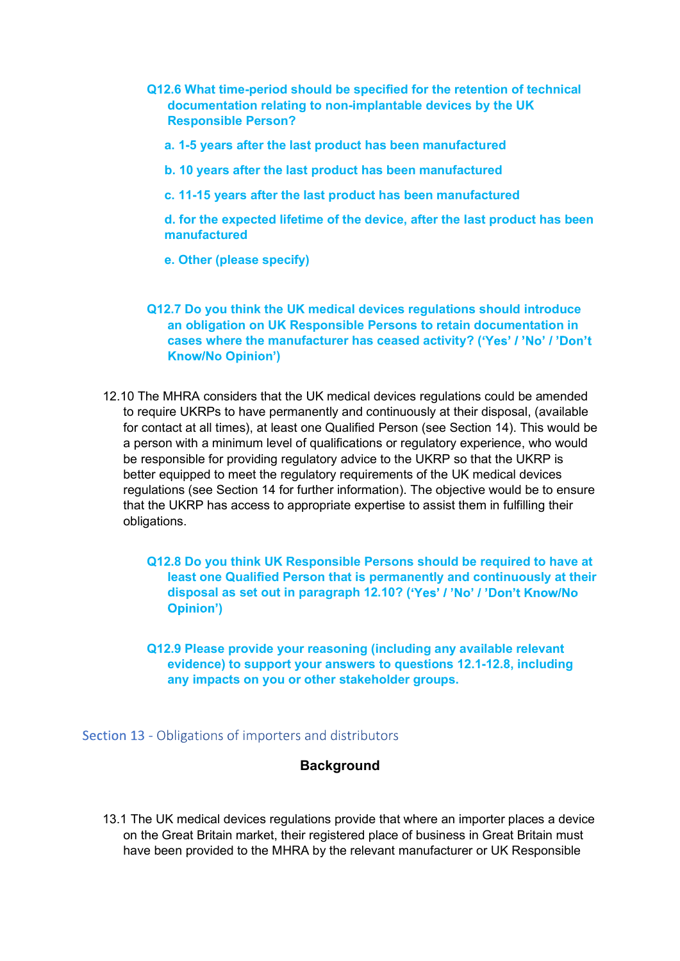- Q12.6 What time-period should be specified for the retention of technical<br>documentation relating to non-implantable devices by the UK<br>Responsible Person?<br>a. 1-5 years after the last product has been manufactured documentation relating to non-implantable devices by the UK Responsible Person?
	- a. 1-5 years after the last product has been manufactured
	- b. 10 years after the last product has been manufactured
	- c. 11-15 years after the last product has been manufactured

d. for the expected lifetime of the device, after the last product has been manufactured

e. Other (please specify)

- Q12.7 Do you think the UK medical devices regulations should introduce an obligation on UK Responsible Persons to retain documentation in cases where the manufacturer has ceased activity? ('Yes' / 'No' / 'Don't )
- 12.10 The MHRA considers that the UK medical devices regulations could be amended to require UKRPs to have permanently and continuously at their disposal, (available for contact at all times), at least one Qualified Person (see Section 14). This would be a person with a minimum level of qualifications or regulatory experience, who would be responsible for providing regulatory advice to the UKRP so that the UKRP is better equipped to meet the regulatory requirements of the UK medical devices regulations (see Section 14 for further information). The objective would be to ensure that the UKRP has access to appropriate expertise to assist them in fulfilling their obligations.

Q12.8 Do you think UK Responsible Persons should be required to have at least one Qualified Person that is permanently and continuously at their disposal as set out in paragraph 12.10? ('Yes' / 'No' / 'Don't Know/No )

Q12.9 Please provide your reasoning (including any available relevant evidence) to support your answers to questions 12.1-12.8, including any impacts on you or other stakeholder groups.

### Section 13 - Obligations of importers and distributors

### **Background**

13.1 The UK medical devices regulations provide that where an importer places a device on the Great Britain market, their registered place of business in Great Britain must have been provided to the MHRA by the relevant manufacturer or UK Responsible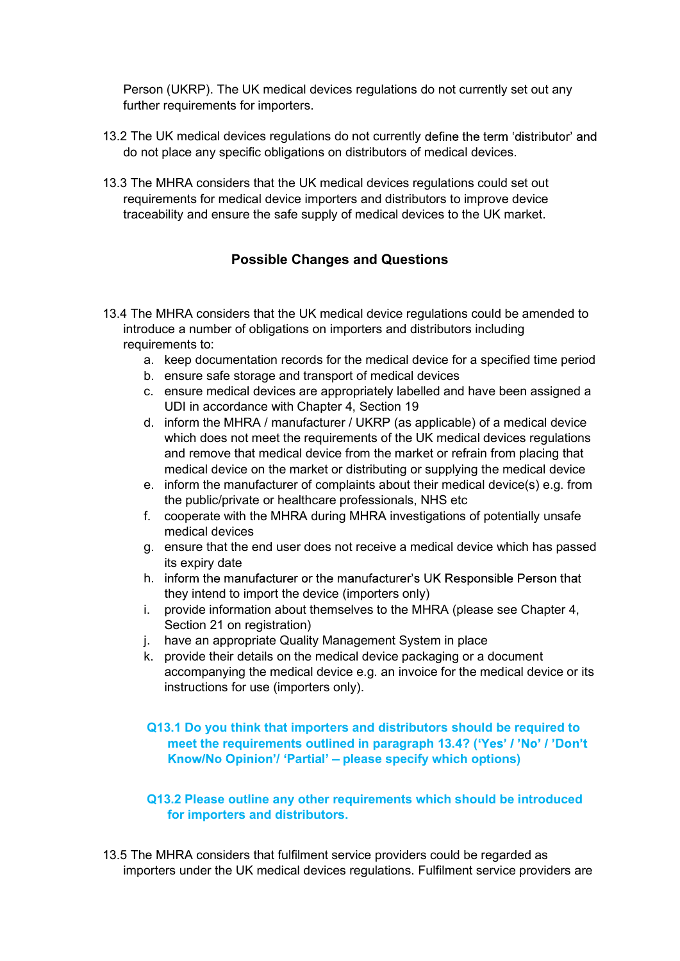Person (UKRP). The UK medical devices regulations do not currently set out any further requirements for importers.

- 13.2 The UK medical devices regulations do not currently define the term 'distributor' and do not place any specific obligations on distributors of medical devices.
- 13.3 The MHRA considers that the UK medical devices regulations could set out requirements for medical device importers and distributors to improve device traceability and ensure the safe supply of medical devices to the UK market.

### Possible Changes and Questions

- 13.4 The MHRA considers that the UK medical device regulations could be amended to introduce a number of obligations on importers and distributors including requirements to:
	- a. keep documentation records for the medical device for a specified time period
	- b. ensure safe storage and transport of medical devices
	- c. ensure medical devices are appropriately labelled and have been assigned a UDI in accordance with Chapter 4, Section 19
	- d. inform the MHRA / manufacturer / UKRP (as applicable) of a medical device which does not meet the requirements of the UK medical devices regulations and remove that medical device from the market or refrain from placing that medical device on the market or distributing or supplying the medical device
	- e. inform the manufacturer of complaints about their medical device(s) e.g. from the public/private or healthcare professionals, NHS etc
	- f. cooperate with the MHRA during MHRA investigations of potentially unsafe medical devices
	- g. ensure that the end user does not receive a medical device which has passed its expiry date
	- h. inform the manufacturer or the manufacturer's UK Responsible Person that they intend to import the device (importers only)
	- i. provide information about themselves to the MHRA (please see Chapter 4, Section 21 on registration)
	- j. have an appropriate Quality Management System in place
	- k. provide their details on the medical device packaging or a document accompanying the medical device e.g. an invoice for the medical device or its instructions for use (importers only).

### Q13.1 Do you think that importers and distributors should be required to meet the requirements outlined in paragraph 13.4? ('Yes' / 'No' / 'Don't Know/No Opinion'/ 'Partial' - please specify which options)

### Q13.2 Please outline any other requirements which should be introduced for importers and distributors.

13.5 The MHRA considers that fulfilment service providers could be regarded as importers under the UK medical devices regulations. Fulfilment service providers are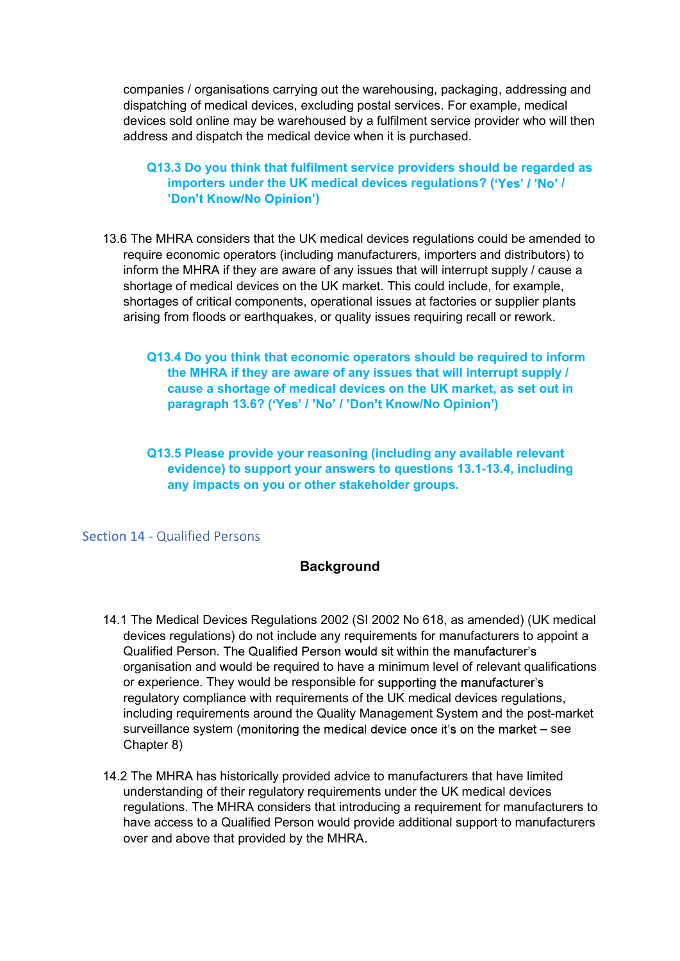companies / organisations carrying out the warehousing, packaging, addressing and<br>dispatching of medical devices, excluding postal services. For example, medical<br>devices sold online may be warehoused by a fulfilment servic dispatching of medical devices, excluding postal services. For example, medical devices sold online may be warehoused by a fulfilment service provider who will then address and dispatch the medical device when it is purchased.

### Q13.3 Do you think that fulfilment service providers should be regarded as importers under the UK medical devices regulations? ('Yes' / 'No' / )

- 13.6 The MHRA considers that the UK medical devices regulations could be amended to require economic operators (including manufacturers, importers and distributors) to inform the MHRA if they are aware of any issues that will interrupt supply / cause a shortage of medical devices on the UK market. This could include, for example, shortages of critical components, operational issues at factories or supplier plants arising from floods or earthquakes, or quality issues requiring recall or rework.
	- Q13.4 Do you think that economic operators should be required to inform the MHRA if they are aware of any issues that will interrupt supply / cause a shortage of medical devices on the UK market, as set out in paragraph 13.6? ('Yes' / 'No' / 'Don't Know/No Opinion')
	- Q13.5 Please provide your reasoning (including any available relevant evidence) to support your answers to questions 13.1-13.4, including any impacts on you or other stakeholder groups.

Section 14 - Qualified Persons

### Background

- 14.1 The Medical Devices Regulations 2002 (SI 2002 No 618, as amended) (UK medical devices regulations) do not include any requirements for manufacturers to appoint a Qualified Person. The Qualified Person would sit within the manufacturer's organisation and would be required to have a minimum level of relevant qualifications or experience. They would be responsible for supporting the manufacturer's regulatory compliance with requirements of the UK medical devices regulations, including requirements around the Quality Management System and the post-market surveillance system (monitoring the medical device once it's on the market - see Chapter 8)
- 14.2 The MHRA has historically provided advice to manufacturers that have limited understanding of their regulatory requirements under the UK medical devices regulations. The MHRA considers that introducing a requirement for manufacturers to have access to a Qualified Person would provide additional support to manufacturers over and above that provided by the MHRA.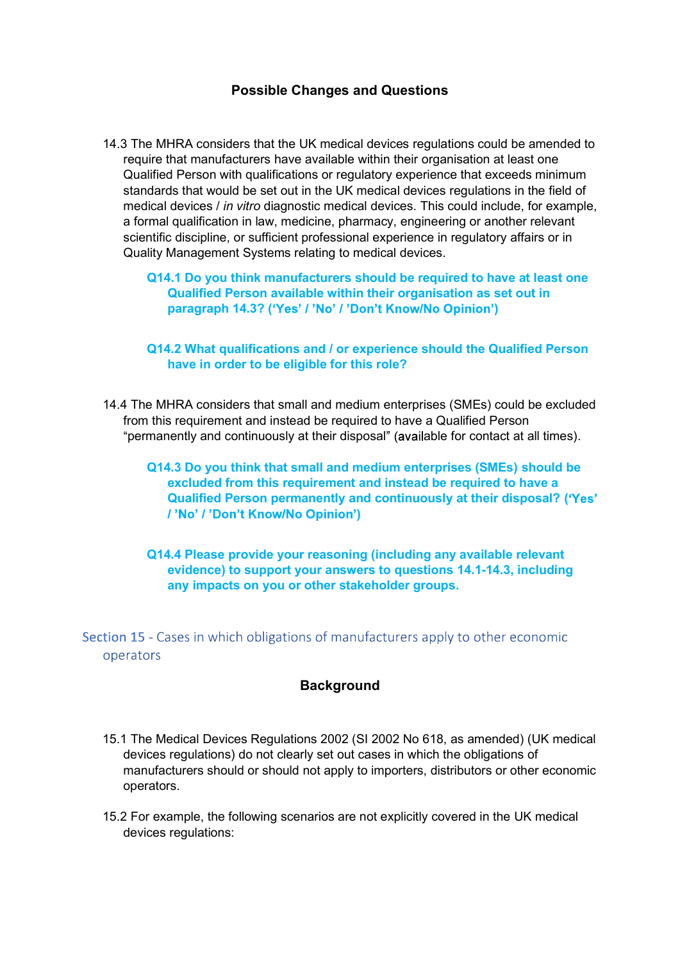### Possible Changes and Questions

14.3 The MHRA considers that the UK medical devices regulations could be amended to require that manufacturers have available within their organisation at least one Qualified Person with qualifications or regulatory experience that exceeds minimum standards that would be set out in the UK medical devices regulations in the field of medical devices / in vitro diagnostic medical devices. This could include, for example, a formal qualification in law, medicine, pharmacy, engineering or another relevant scientific discipline, or sufficient professional experience in regulatory affairs or in Quality Management Systems relating to medical devices.

Q14.1 Do you think manufacturers should be required to have at least one Qualified Person available within their organisation as set out in paragraph 14.3? ('Yes' / 'No' / 'Don't Know/No Opinion')

### Q14.2 What qualifications and / or experience should the Qualified Person have in order to be eligible for this role?

14.4 The MHRA considers that small and medium enterprises (SMEs) could be excluded from this requirement and instead be required to have a Qualified Person "permanently and continuously at their disposal" (available for contact at all times).

Q14.3 Do you think that small and medium enterprises (SMEs) should be excluded from this requirement and instead be required to have a Qualified Person permanently and continuously at their disposal? ( )

Q14.4 Please provide your reasoning (including any available relevant evidence) to support your answers to questions 14.1-14.3, including any impacts on you or other stakeholder groups.

Section 15 - Cases in which obligations of manufacturers apply to other economic operators

### **Background**

- 15.1 The Medical Devices Regulations 2002 (SI 2002 No 618, as amended) (UK medical devices regulations) do not clearly set out cases in which the obligations of manufacturers should or should not apply to importers, distributors or other economic operators.
- 15.2 For example, the following scenarios are not explicitly covered in the UK medical devices regulations: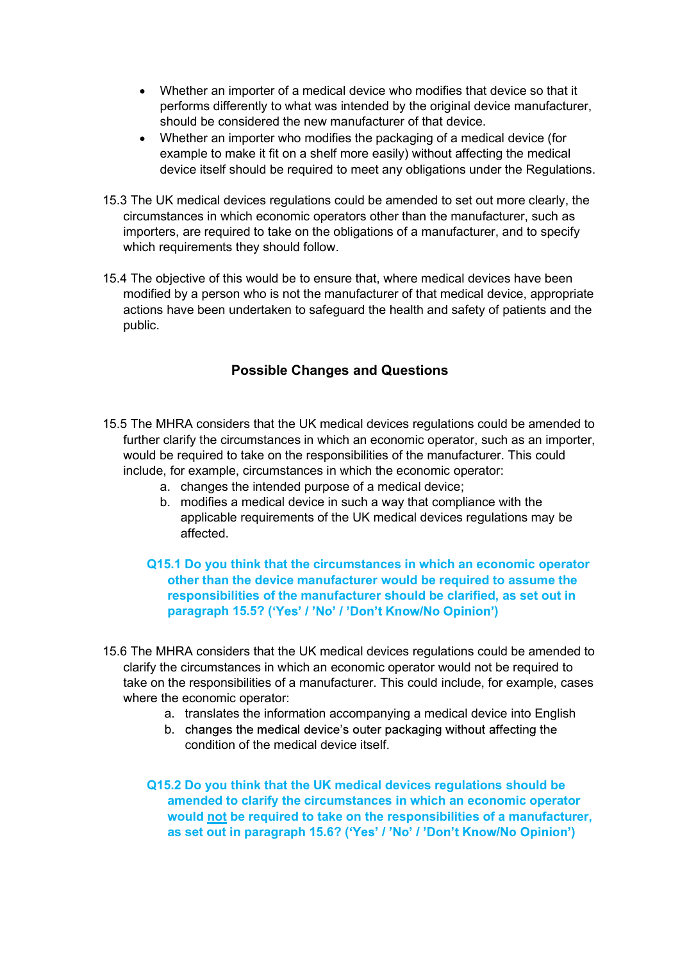- Whether an importer of a medical device who modifies that device so that it performs differently to what was intended by the original device manufacturer, should be considered the new manufacturer of that device.
- Whether an importer who modifies the packaging of a medical device (for example to make it fit on a shelf more easily) without affecting the medical device itself should be required to meet any obligations under the Regulations.
- 15.3 The UK medical devices regulations could be amended to set out more clearly, the circumstances in which economic operators other than the manufacturer, such as importers, are required to take on the obligations of a manufacturer, and to specify which requirements they should follow.
- 15.4 The objective of this would be to ensure that, where medical devices have been modified by a person who is not the manufacturer of that medical device, appropriate actions have been undertaken to safeguard the health and safety of patients and the public.

### Possible Changes and Questions

- 15.5 The MHRA considers that the UK medical devices regulations could be amended to further clarify the circumstances in which an economic operator, such as an importer, would be required to take on the responsibilities of the manufacturer. This could include, for example, circumstances in which the economic operator:
	- a. changes the intended purpose of a medical device;
	- b. modifies a medical device in such a way that compliance with the applicable requirements of the UK medical devices regulations may be affected.
	- Q15.1 Do you think that the circumstances in which an economic operator other than the device manufacturer would be required to assume the responsibilities of the manufacturer should be clarified, as set out in paragraph 15.5? ('Yes' / 'No' / 'Don't Know/No Opinion')
- 15.6 The MHRA considers that the UK medical devices regulations could be amended to clarify the circumstances in which an economic operator would not be required to take on the responsibilities of a manufacturer. This could include, for example, cases where the economic operator:
	- a. translates the information accompanying a medical device into English
	- b. changes the medical device's outer packaging without affecting the condition of the medical device itself.

Q15.2 Do you think that the UK medical devices regulations should be amended to clarify the circumstances in which an economic operator would not be required to take on the responsibilities of a manufacturer, as set out in paragraph 15.6? ('Yes' / 'No' / 'Don't Know/No Opinion')